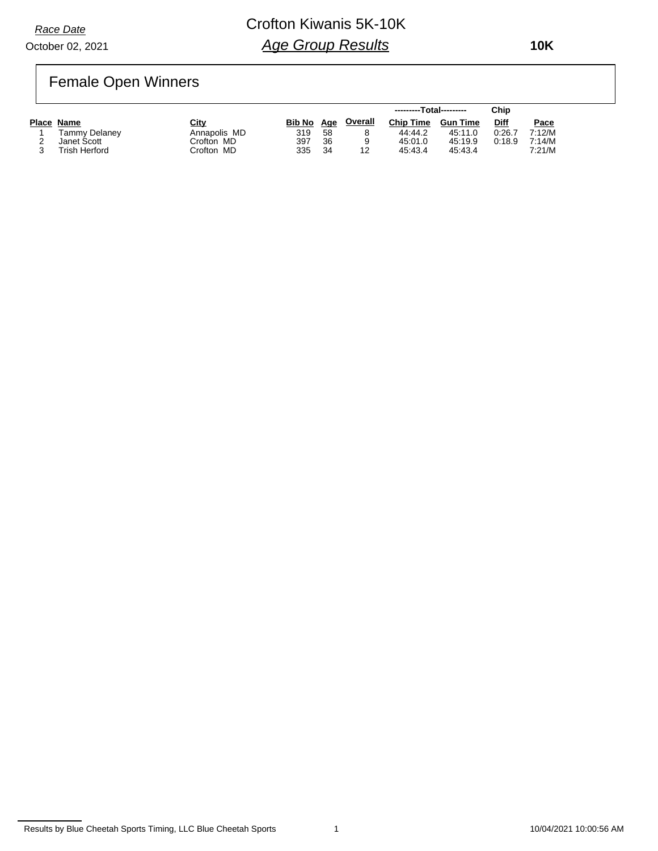### October 02, 2021

# Crofton Kiwanis 5K-10K *Age Group Results*

 **10K**

# Female Open Winners

|               |              |        |     |         | ---------Total--------- |                 | Chip        |        |
|---------------|--------------|--------|-----|---------|-------------------------|-----------------|-------------|--------|
| Place Name    | City         | Bib No | Aae | Overall | <b>Chip Time</b>        | <b>Gun Time</b> | <b>Diff</b> | Pace   |
| Tammv Delanev | Annapolis MD | 319    | 58  |         | 44:44.2                 | 45:11.0         | 0:26.7      | 7:12/M |
| Janet Scott   | Crofton MD   | 397    | 36  | 9       | 45:01.0                 | 45:19.9         | 0:18.9      | 7:14/M |
| Trish Herford | Crofton MD   | 335    | 34  | 12      | 45:43.4                 | 45:43.4         |             | 7:21/M |

Results by Blue Cheetah Sports Timing, LLC Blue Cheetah Sports 1 10/04/2021 10:00:56 AM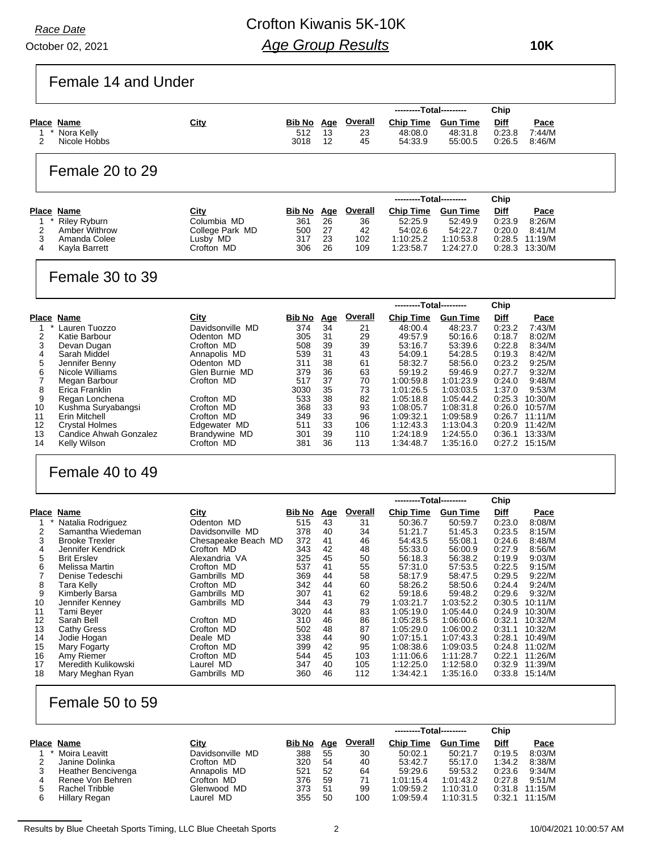October 02, 2021 *Race Date*

# Crofton Kiwanis 5K-10K *Age Group Results*

 **10K**

| Female 14 and Under                                                                                                  |                                         |                   |          |                |                         |                        |                  |                                  |
|----------------------------------------------------------------------------------------------------------------------|-----------------------------------------|-------------------|----------|----------------|-------------------------|------------------------|------------------|----------------------------------|
|                                                                                                                      |                                         |                   |          |                | ---------Total--------- |                        | Chip             |                                  |
| <b>Place Name</b>                                                                                                    | City                                    | <b>Bib No Age</b> |          | <b>Overall</b> | <b>Chip Time</b>        | <b>Gun Time</b>        | Diff             | <u>Pace</u>                      |
| Nora Kelly<br>1                                                                                                      |                                         | 512               | 13       | 23             | 48:08.0                 | 48:31.8                | 0.23.8           | 7:44/M                           |
| 2<br>Nicole Hobbs                                                                                                    |                                         | 3018              | 12       | 45             | 54:33.9                 | 55:00.5                | 0:26.5           | 8:46/M                           |
| Female 20 to 29                                                                                                      |                                         |                   |          |                |                         |                        |                  |                                  |
|                                                                                                                      |                                         |                   |          |                | ---------Total--------- |                        | Chip             |                                  |
| <b>Place Name</b>                                                                                                    | City                                    | <u>Bib No Age</u> |          | <b>Overall</b> | <b>Chip Time</b>        | <b>Gun Time</b>        | <u>Diff</u>      | <u>Pace</u>                      |
| 1<br><b>Riley Ryburn</b>                                                                                             | Columbia MD                             | 361               | 26       | 36             | 52:25.9                 | 52:49.9                | 0:23.9           | 8:26/M                           |
| 2<br><b>Amber Withrow</b>                                                                                            | College Park MD                         | 500               | 27       | 42             | 54:02.6                 | 54:22.7                | 0:20.0           | 8:41/M                           |
| 3<br>Amanda Colee<br>4                                                                                               | Lusby MD<br>Crofton MD                  | 317<br>306        | 23<br>26 | 102<br>109     | 1:10:25.2<br>1.23.58.7  | 1:10:53.8<br>1:24:27.0 | 0:28.5           | 11:19/M<br>0:28.3 13:30/M        |
| Kayla Barrett                                                                                                        |                                         |                   |          |                |                         |                        |                  |                                  |
| Female 30 to 39                                                                                                      |                                         |                   |          |                |                         |                        |                  |                                  |
|                                                                                                                      |                                         |                   |          |                | ---------Total--------- |                        | Chip             |                                  |
| <b>Place Name</b>                                                                                                    | City                                    | <b>Bib No Age</b> |          | <b>Overall</b> | <b>Chip Time</b>        | <b>Gun Time</b>        | <b>Diff</b>      | <b>Pace</b>                      |
| Lauren Tuozzo<br>1                                                                                                   | Davidsonville MD                        | 374               | 34       | 21             | 48:00.4                 | 48:23.7                | 0:23.2           | 7:43/M                           |
| 2<br>Katie Barbour                                                                                                   | Odenton MD                              | 305               | 31       | 29             | 49:57.9                 | 50:16.6                | 0:18.7           | 8:02/M                           |
| 3<br>Devan Dugan                                                                                                     | Crofton MD                              | 508               | 39       | 39             | 53:16.7                 | 53:39.6                | 0:22.8           | 8:34/M                           |
| 4<br>Sarah Middel                                                                                                    | Annapolis MD                            | 539               | 31       | 43             | 54:09.1                 | 54:28.5                | 0:19.3           | 8:42/M                           |
| 5<br>Jennifer Benny<br>6<br>Nicole Williams                                                                          | Odenton MD<br>Glen Burnie MD            | 311<br>379        | 38<br>36 | 61<br>63       | 58:32.7<br>59:19.2      | 58:56.0<br>59:46.9     | 0.23.2<br>0:27.7 | 9:25/M<br>9:32/M                 |
| 7<br>Megan Barbour                                                                                                   | Crofton MD                              | 517               | 37       | 70             | 1:00:59.8               | 1:01:23.9              | 0:24.0           | 9:48/M                           |
| 8<br>Erica Franklin                                                                                                  |                                         | 3030              | 35       | 73             | 1:01:26.5               | 1:03:03.5              | 1:37.0           | 9.53/M                           |
| 9<br>Regan Lonchena                                                                                                  | Crofton MD                              | 533               | 38       | 82             | 1:05:18.8               | 1:05:44.2              |                  | 0:25.3 10:30/M                   |
| 10<br>Kushma Suryabangsi                                                                                             | Crofton MD                              | 368               | 33       | 93             | 1:08:05.7               | 1:08:31.8              |                  | 0:26.0 10:57/M                   |
|                                                                                                                      | Crofton MD                              | 349               | 33       | 96             | 1:09:32.1               | 1:09:58.9              |                  | $0:26.7$ 11:11/M                 |
| Erin Mitchell                                                                                                        |                                         |                   |          | 106            | 1:12:43.3               | 1:13:04.3              |                  | $0:20.9$ 11:42/M                 |
| <b>Crystal Holmes</b>                                                                                                | Edgewater MD                            | 511               | 33       |                |                         |                        |                  |                                  |
| Candice Ahwah Gonzalez                                                                                               | Brandywine MD                           | 301               | 39       | 110            | 1.24.18.9               | 1:24:55.0              |                  | 0:36.1 13:33/M                   |
| Kelly Wilson                                                                                                         | Crofton MD                              | 381               | 36       | 113            | 1:34:48.7               | 1:35:16.0              |                  | $0:27.2$ 15:15/M                 |
| Female 40 to 49                                                                                                      |                                         |                   |          |                |                         |                        |                  |                                  |
|                                                                                                                      |                                         |                   |          |                | ---------Total--------- |                        | Chip             |                                  |
|                                                                                                                      | City                                    | <b>Bib No Age</b> |          | Overall        | <b>Chip Time</b>        | <b>Gun Time</b>        | <b>Diff</b>      | Pace                             |
| Natalia Rodriguez                                                                                                    | Odenton MD                              | 515               | 43       | 31             | 50:36.7                 | 50:59.7                | 0:23.0           | 8:08/M                           |
| Samantha Wiedeman                                                                                                    | Davidsonville MD                        | 378               | 40       | 34             | 51:21.7                 | 51:45.3                | 0:23.5           | 8:15/M                           |
| 3<br>Brooke Trexler                                                                                                  | Chesapeake Beach MD                     | 372               | 41       | 46             | 54:43.5                 | 55:08.1                | 0:24.6           | 8:48/M                           |
| Jennifer Kendrick                                                                                                    | Crofton MD                              | 343               | 42       | 48             | 55:33.0                 | 56:00.9                | 0.27.9           | 8:56/M                           |
| <b>Brit Erslev</b>                                                                                                   | Alexandria VA                           | 325               | 45       | 50             | 56:18.3                 | 56:38.2                | 0.19.9           | 9:03/M                           |
| Melissa Martin                                                                                                       | Crofton MD<br>Gambrills MD              | 537<br>369        | 41<br>44 | 55<br>58       | 57:31.0                 | 57:53.5<br>58:47.5     | 0.22.5<br>0.29.5 | 9:15/M<br>9:22/M                 |
| Denise Tedeschi<br>Tara Kelly                                                                                        | Crofton MD                              | 342               | 44       | 60             | 58:17.9<br>58:26.2      | 58:50.6                | 0:24.4           | 9:24/M                           |
| Kimberly Barsa                                                                                                       | Gambrills MD                            | 307               | 41       | 62             | 59:18.6                 | 59:48.2                | 0.29.6           | 9:32/M                           |
| Jennifer Kenney                                                                                                      | Gambrills MD                            | 344               | 43       | 79             | 1:03:21.7               | 1:03:52.2              |                  | 0:30.5 10:11/M                   |
| Tami Beyer                                                                                                           |                                         | 3020              | 44       | 83             | 1:05:19.0               | 1:05:44.0              |                  | 0:24.9 10:30/M                   |
| 1<br>2<br>Sarah Bell                                                                                                 | Crofton MD                              | 310               | 46       | 86             | 1:05:28.5               | 1:06:00.6              |                  | 0:32.1 10:32/M                   |
| <b>Cathy Gress</b>                                                                                                   | Crofton MD                              | 502               | 48       | 87             | 1:05:29.0               | 1:06:00.2              |                  | 0:31.1 10:32/M                   |
| 11<br>12<br>13<br>14<br><b>Place Name</b><br>4<br>5<br>6<br>7<br>8<br>9<br>10<br>11<br>12<br>13<br>14<br>Jodie Hogan | Deale MD                                | 338               | 44       | 90             | 1:07:15.1               | 1:07:43.3              |                  | 0:28.1 10:49/M                   |
| 15<br>Mary Fogarty<br>16<br>Amy Riemer                                                                               | Crofton MD                              | 399<br>544        | 42<br>45 | 95<br>103      | 1:08:38.6<br>1:11:06.6  | 1:09:03.5              |                  | 0:24.8 11:02/M<br>0:22.1 11:26/M |
| 17<br>Meredith Kulikowski<br>Mary Meghan Ryan                                                                        | Crofton MD<br>Laurel MD<br>Gambrills MD | 347               | 40       | 105<br>112     | 1:12:25.0<br>1:34:42.1  | 1:11:28.7<br>1:12:58.0 |                  | 0:32.9 11:39/M                   |

### Female 50 to 59

|   |                    |                  |        |            |                | ---------Total--------- |                 | Chip   |                  |
|---|--------------------|------------------|--------|------------|----------------|-------------------------|-----------------|--------|------------------|
|   | Place Name         | City             | Bib No | <u>Age</u> | <b>Overall</b> | Chip Time               | <b>Gun Time</b> | Diff   | Pace             |
|   | * Moira Leavitt    | Davidsonville MD | 388    | 55         | 30             | 50:02.1                 | 50:21.7         | 0:19.5 | 8:03/M           |
|   | Janine Dolinka     | Crofton MD       | 320    | 54         | 40             | 53:42.7                 | 55:17.0         | 1:34.2 | 8:38/M           |
|   | Heather Bencivenga | Annapolis MD     | 521    | 52         | 64             | 59:29.6                 | 59:53.2         | 0.23.6 | 9:34/M           |
| 4 | Renee Von Behren   | Crofton MD       | 376    | 59         | 71             | 1:01:15.4               | 1:01:43.2       | 0.27.8 | 9:51/M           |
|   | Rachel Tribble     | Glenwood MD      | 373    | 51         | 99             | 1:09:59.2               | 1:10:31.0       |        | $0:31.8$ 11:15/M |
| 6 | Hillary Regan      | Laurel MD        | 355    | 50         | 100            | 1:09:59.4               | 1:10:31.5       | 0.32.1 | 11:15/M          |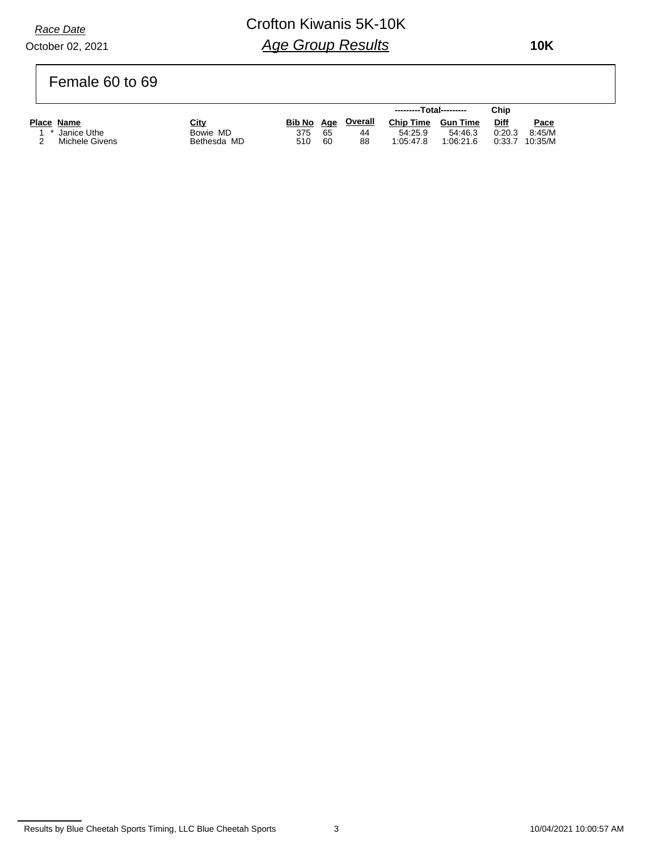### October 02, 2021

# Crofton Kiwanis 5K-10K *Age Group Results*

 **10K**

## Female 60 to 69

|                |             |        |     |         | ---------Total--------- |                 | Chip   |             |
|----------------|-------------|--------|-----|---------|-------------------------|-----------------|--------|-------------|
| Place Name     | <u>City</u> | Bib No | Age | Overall | <b>Chip Time</b>        | <b>Gun Time</b> | Diff   | <u>Pace</u> |
| Janice Uthe    | Bowie MD    | 375    | 65  | 44      | 54:25.9                 | 54:46.3         | 0:20.3 | 8:45/M      |
| Michele Givens | Bethesda MD | 510    | 60  | 88      | 1:05:47.8               | 1:06:21.6       | 0:33.7 | 10:35/M     |

Results by Blue Cheetah Sports Timing, LLC Blue Cheetah Sports 3 10/04/2021 10:00:57 AM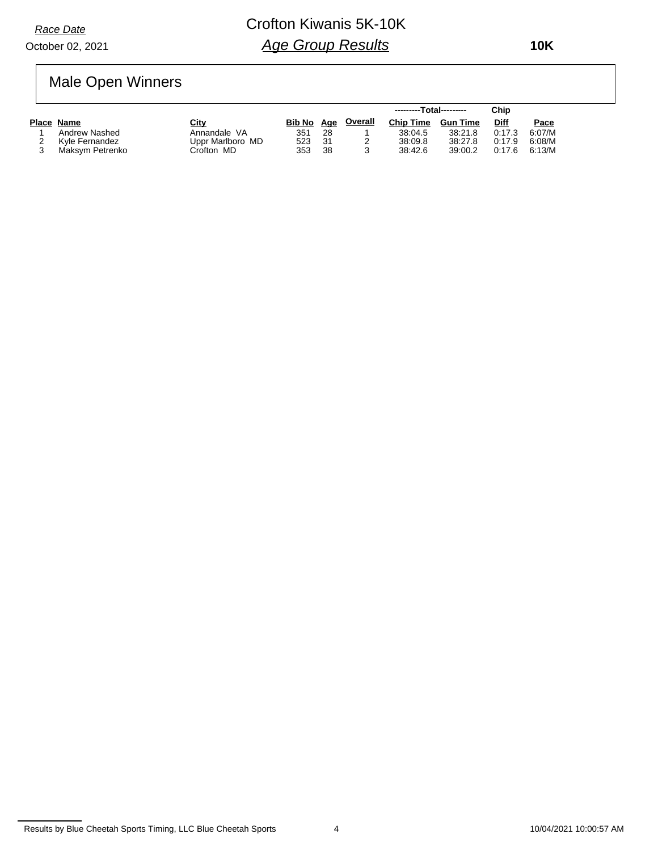#### October 02, 2021

# Crofton Kiwanis 5K-10K *Age Group Results*

 **10K**

# Male Open Winners

|                 |                  |        |     |         | ---------Total--------- |          | Chip   |        |
|-----------------|------------------|--------|-----|---------|-------------------------|----------|--------|--------|
| Place Name      | City             | Bib No | Aae | Overall | <b>Chip Time</b>        | Gun Time | Diff   | Pace   |
| Andrew Nashed   | Annandale VA     | 351    | 28  |         | 38:04.5                 | 38:21.8  | 0:17.3 | 6:07/M |
| Kvle Fernandez  | Uppr Marlboro MD | 523    | -31 |         | 38:09.8                 | 38:27.8  | 0:17.9 | 6:08/M |
| Maksvm Petrenko | Crofton MD       | 353    | 38  |         | 38:42.6                 | 39:00.2  | 0:17.6 | 6:13/M |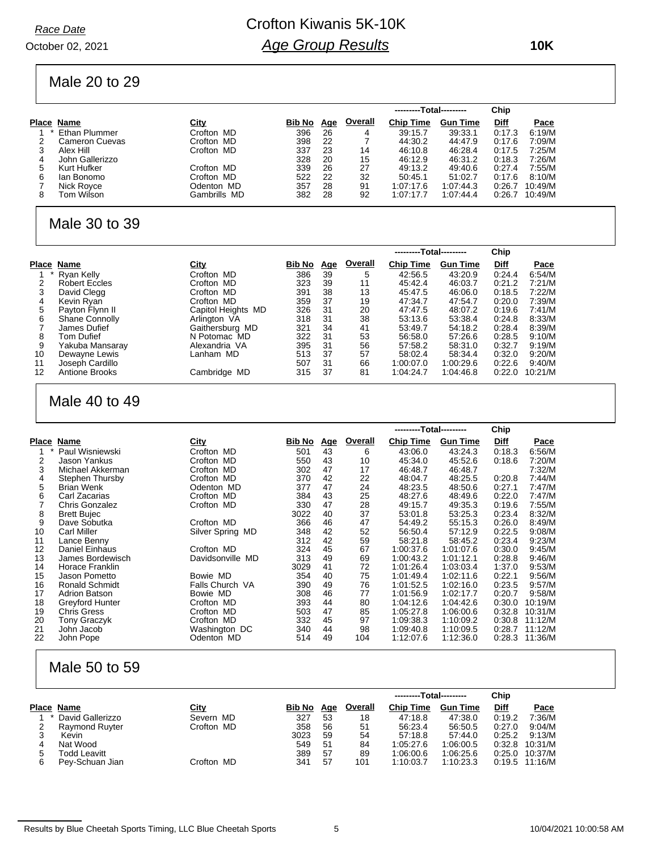### October 02, 2021

# Crofton Kiwanis 5K-10K *Age Group Results*

 **10K**

## Male 20 to 29

|   |                       |              |        |            |                | ---------Total--------- |                 | Chip        |         |
|---|-----------------------|--------------|--------|------------|----------------|-------------------------|-----------------|-------------|---------|
|   | Place Name            | <u>City</u>  | Bib No | <u>Age</u> | <b>Overall</b> | <b>Chip Time</b>        | <b>Gun Time</b> | <b>Diff</b> | Pace    |
|   | Ethan Plummer         | Crofton MD   | 396    | 26         | 4              | 39:15.7                 | 39:33.1         | 0:17.3      | 6:19/M  |
|   | <b>Cameron Cuevas</b> | Crofton MD   | 398    | 22         |                | 44:30.2                 | 44:47.9         | 0.17.6      | 7:09/M  |
| 3 | Alex Hill             | Crofton MD   | 337    | 23         | 14             | 46:10.8                 | 46:28.4         | 0:17.5      | 7:25/M  |
| 4 | John Gallerizzo       |              | 328    | 20         | 15             | 46:12.9                 | 46:31.2         | 0:18.3      | 7:26/M  |
| 5 | Kurt Hufker           | Crofton MD   | 339    | 26         | 27             | 49:13.2                 | 49:40.6         | 0.27.4      | 7:55/M  |
| 6 | lan Bonomo            | Crofton MD   | 522    | 22         | 32             | 50:45.1                 | 51:02.7         | 0.17.6      | 8:10/M  |
|   | Nick Royce            | Odenton MD   | 357    | 28         | 91             | 1:07:17.6               | 1:07:44.3       | 0:26.7      | 10:49/M |
| 8 | Tom Wilson            | Gambrills MD | 382    | 28         | 92             | 1:07:17.7               | 1.07.44.4       | 0:26.7      | 10:49/M |
|   |                       |              |        |            |                |                         |                 |             |         |

### Male 30 to 39

|       |                       |                    |               |            |         | ---------Total--------- |                 | Chip        |         |
|-------|-----------------------|--------------------|---------------|------------|---------|-------------------------|-----------------|-------------|---------|
| Place | Name                  | <b>City</b>        | <b>Bib No</b> | <u>Age</u> | Overall | <b>Chip Time</b>        | <b>Gun Time</b> | <b>Diff</b> | Pace    |
|       | Ryan Kelly            | Crofton MD         | 386           | 39         | 5       | 42:56.5                 | 43:20.9         | 0:24.4      | 6:54/M  |
| 2     | <b>Robert Eccles</b>  | Crofton MD         | 323           | 39         | 11      | 45:42.4                 | 46:03.7         | 0:21.2      | 7:21/M  |
| 3     | David Clegg           | Crofton MD         | 391           | 38         | 13      | 45:47.5                 | 46:06.0         | 0:18.5      | 7:22/M  |
| 4     | Kevin Rvan            | Crofton MD         | 359           | 37         | 19      | 47:34.7                 | 47:54.7         | 0:20.0      | 7:39/M  |
| 5     | Payton Flynn II       | Capitol Heights MD | 326           | 31         | 20      | 47:47.5                 | 48:07.2         | 0:19.6      | 7:41/M  |
| 6     | <b>Shane Connolly</b> | Arlington VA       | 318           | 31         | 38      | 53.13.6                 | 53:38.4         | 0:24.8      | 8:33/M  |
|       | James Dufief          | Gaithersburg MD    | 321           | 34         | 41      | 53:49.7                 | 54:18.2         | 0:28.4      | 8:39/M  |
| 8     | Tom Dufief            | N Potomac MD       | 322           | 31         | 53      | 56:58.0                 | 57:26.6         | 0.28.5      | 9:10/M  |
| 9     | Yakuba Mansaray       | Alexandria VA      | 395           | 31         | 56      | 57:58.2                 | 58:31.0         | 0:32.7      | 9:19/M  |
| 10    | Dewayne Lewis         | Lanham MD          | 513           | 37         | 57      | 58:02.4                 | 58:34.4         | 0:32.0      | 9:20/M  |
| 11    | Joseph Cardillo       |                    | 507           | 31         | 66      | 1:00:07.0               | 1.00.29.6       | 0:22.6      | 9:40/M  |
| 12    | Antione Brooks        | Cambridge MD       | 315           | 37         | 81      | 1:04:24.7               | 1:04:46.8       | 0:22.0      | 10:21/M |

### Male 40 to 49

|       |                      |                  |               |            |                | ---------Total--------- |                 | Chip        |         |
|-------|----------------------|------------------|---------------|------------|----------------|-------------------------|-----------------|-------------|---------|
| Place | Name                 | City             | <u>Bib No</u> | <u>Age</u> | <b>Overall</b> | <b>Chip Time</b>        | <b>Gun Time</b> | <b>Diff</b> | Pace    |
|       | Paul Wisniewski      | Crofton MD       | 501           | 43         | 6              | 43:06.0                 | 43:24.3         | 0:18.3      | 6:56/M  |
| 2     | Jason Yankus         | Crofton MD       | 550           | 43         | 10             | 45:34.0                 | 45:52.6         | 0.18.6      | 7:20/M  |
| 3     | Michael Akkerman     | Crofton MD       | 302           | 47         | 17             | 46:48.7                 | 46:48.7         |             | 7:32/M  |
| 4     | Stephen Thursby      | Crofton MD       | 370           | 42         | 22             | 48:04.7                 | 48:25.5         | 0:20.8      | 7:44/M  |
| 5     | <b>Brian Wenk</b>    | Odenton MD       | 377           | 47         | 24             | 48:23.5                 | 48:50.6         | 0:27.1      | 7:47/M  |
| 6     | Carl Zacarias        | Crofton MD       | 384           | 43         | 25             | 48:27.6                 | 48:49.6         | 0:22.0      | 7:47/M  |
|       | Chris Gonzalez       | Crofton MD       | 330           | 47         | 28             | 49:15.7                 | 49:35.3         | 0:19.6      | 7:55/M  |
| 8     | <b>Brett Bujec</b>   |                  | 3022          | 40         | 37             | 53:01.8                 | 53:25.3         | 0:23.4      | 8:32/M  |
| 9     | Dave Sobutka         | Crofton MD       | 366           | 46         | 47             | 54:49.2                 | 55:15.3         | 0.26.0      | 8:49/M  |
| 10    | <b>Carl Miller</b>   | Silver Spring MD | 348           | 42         | 52             | 56:50.4                 | 57:12.9         | 0:22.5      | 9:08/M  |
| 11    | Lance Benny          |                  | 312           | 42         | 59             | 58:21.8                 | 58:45.2         | 0.23.4      | 9:23/M  |
| 12    | Daniel Einhaus       | Crofton MD       | 324           | 45         | 67             | 1:00:37.6               | 1:01:07.6       | 0.30.0      | 9:45/M  |
| 13    | James Bordewisch     | Davidsonville MD | 313           | 49         | 69             | 1:00:43.2               | 1:01:12.1       | 0:28.8      | 9:46/M  |
| 14    | Horace Franklin      |                  | 3029          | 41         | 72             | 1.01.26.4               | 1:03:03.4       | 1:37.0      | 9:53/M  |
| 15    | Jason Pometto        | Bowie MD         | 354           | 40         | 75             | 1:01:49.4               | 1:02:11.6       | 0:22.1      | 9:56/M  |
| 16    | Ronald Schmidt       | Falls Church VA  | 390           | 49         | 76             | 1:01:52.5               | 1:02:16.0       | 0:23.5      | 9.57/M  |
| 17    | <b>Adrion Batson</b> | Bowie MD         | 308           | 46         | 77             | 1.01.56.9               | 1:02:17.7       | 0:20.7      | 9:58/M  |
| 18    | Greyford Hunter      | Crofton MD       | 393           | 44         | 80             | 1.04.12.6               | 1.04.42.6       | 0.30.0      | 10:19/M |
| 19    | <b>Chris Gress</b>   | Crofton MD       | 503           | 47         | 85             | 1.05.27.8               | 1:06:00.6       | 0:32.8      | 10:31/M |
| 20    | Tony Graczyk         | Crofton MD       | 332           | 45         | 97             | 1.09.38.3               | 1:10:09.2       | 0:30.8      | 11:12/M |
| 21    | John Jacob           | Washington DC    | 340           | 44         | 98             | 1.09.40.8               | 1:10:09.5       | 0:28.7      | 11:12/M |
| 22    | John Pope            | Odenton MD       | 514           | 49         | 104            | 1:12:07.6               | 1:12:36.0       | 0:28.3      | 11:36/M |

### Male 50 to 59

|   |                       |            |        |     |                | ---------Total--------- |                 | Chip        |                  |
|---|-----------------------|------------|--------|-----|----------------|-------------------------|-----------------|-------------|------------------|
|   | Place Name            | City       | Bib No | Age | <b>Overall</b> | <b>Chip Time</b>        | <b>Gun Time</b> | <b>Diff</b> | Pace             |
|   | David Gallerizzo      | Severn MD  | 327    | 53  | 18             | 47:18.8                 | 47:38.0         | 0:19.2      | 7:36/M           |
|   | <b>Raymond Ruyter</b> | Crofton MD | 358    | 56  | 51             | 56:23.4                 | 56:50.5         | 0:27.0      | 9.04/M           |
| 3 | Kevin                 |            | 3023   | 59  | 54             | 57:18.8                 | 57:44.0         | 0:25.2      | 9:13/M           |
|   | Nat Wood              |            | 549    | 51  | 84             | 1:05:27.6               | 1.06.00.5       | 0:32.8      | 10:31/M          |
|   | Todd Leavitt          |            | 389    | 57  | 89             | 1.06.00.6               | 1.06.25.6       | 0.25.0      | 10:37/M          |
|   | Pey-Schuan Jian       | Crofton MD | 341    | -57 | 101            | 1.10:03.7               | 1:10:23.3       |             | $0.19.5$ 11:16/M |

Results by Blue Cheetah Sports Timing, LLC Blue Cheetah Sports 6 10/04/2021 10:00:58 AM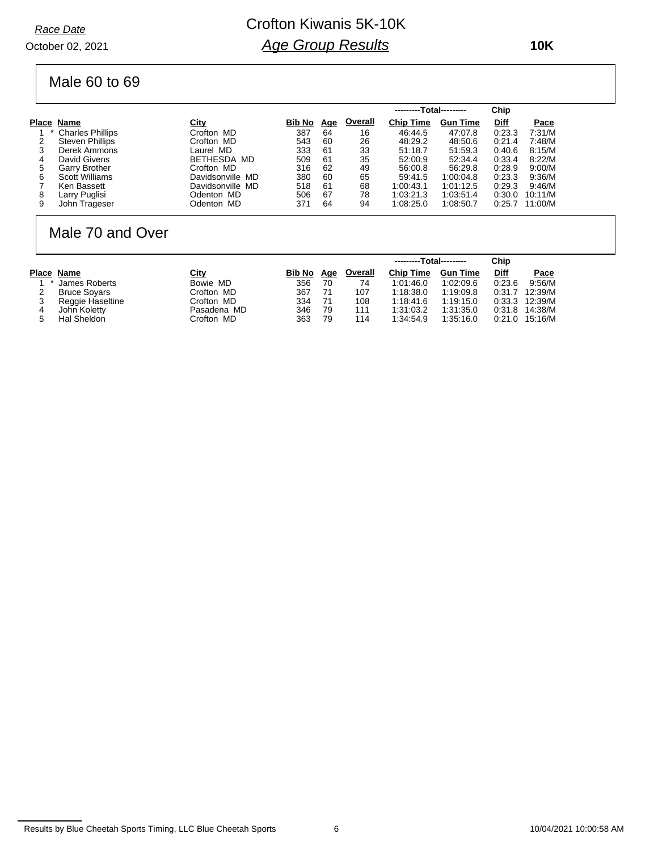### October 02, 2021 *Race Date*

# Crofton Kiwanis 5K-10K *Age Group Results*

 **10K**

### Male 60 to 69

|                         |                  |        |            |                |                  |                 | Chip                    |         |
|-------------------------|------------------|--------|------------|----------------|------------------|-----------------|-------------------------|---------|
| Place Name              | <u>City</u>      | Bib No | <u>Age</u> | <b>Overall</b> | <b>Chip Time</b> | <b>Gun Time</b> | <b>Diff</b>             | Pace    |
| <b>Charles Phillips</b> | Crofton MD       | 387    | 64         | 16             | 46:44.5          | 47:07.8         | 0.23.3                  | 7:31/M  |
| <b>Steven Phillips</b>  | Crofton MD       | 543    | 60         | 26             | 48:29.2          | 48:50.6         | 0.21.4                  | 7:48/M  |
| Derek Ammons            | Laurel MD        | 333    | 61         | 33             | 51:18.7          | 51:59.3         | 0.40.6                  | 8:15/M  |
| David Givens            | BETHESDA MD      | 509    | 61         | 35             | 52:00.9          | 52:34.4         | 0:33.4                  | 8:22/M  |
| Garry Brother           | Crofton MD       | 316    | 62         | 49             | 56:00.8          | 56:29.8         | 0.28.9                  | 9:00/M  |
| Scott Williams          | Davidsonville MD | 380    | 60         | 65             | 59:41.5          | 1:00:04.8       | 0.23.3                  | 9:36/M  |
| Ken Bassett             | Davidsonville MD | 518    | 61         | 68             | 1:00:43.1        | 1.01.12.5       | 0.29.3                  | 9:46/M  |
| Larry Puglisi           | Odenton MD       | 506    | 67         | 78             | 1:03:21.3        | 1.03.51.4       | 0:30.0                  | 10:11/M |
| John Trageser           | Odenton MD       | 371    | 64         | 94             | 1:08:25.0        | 1:08:50.7       | 0.25.7                  | 11:00/M |
|                         |                  |        |            |                |                  |                 | ---------Total--------- |         |

## Male 70 and Over

|   |                     |             |        |     |                | ---------Total--------- |                 | Chip        |                  |
|---|---------------------|-------------|--------|-----|----------------|-------------------------|-----------------|-------------|------------------|
|   | Place Name          | <u>City</u> | Bib No | Age | <b>Overall</b> | <b>Chip Time</b>        | <b>Gun Time</b> | <b>Diff</b> | Pace             |
|   | James Roberts       | Bowie MD    | 356    | 70  | 74             | 1:01:46.0               | 1:02:09.6       | 0:23.6      | 9:56/M           |
| 2 | <b>Bruce Sovars</b> | Crofton MD  | 367    | 71  | 107            | 1:18:38.0               | 1:19:09.8       | 0:31.7      | 12:39/M          |
| 3 | Reggie Haseltine    | Crofton MD  | 334    | 71  | 108            | 1:18:41.6               | 1:19:15.0       |             | 0:33.3 12:39/M   |
|   | John Koletty        | Pasadena MD | 346    | 79  | 111            | 1:31:03.2               | 1:31:35.0       | 0:31.8      | 14:38/M          |
| 5 | Hal Sheldon         | Crofton MD  | 363    | 79  | 114            | 1:34:54.9               | 1:35:16.0       |             | $0:21.0$ 15:16/M |

Results by Blue Cheetah Sports Timing, LLC Blue Cheetah Sports 6 10/04/2021 10:00:58 AM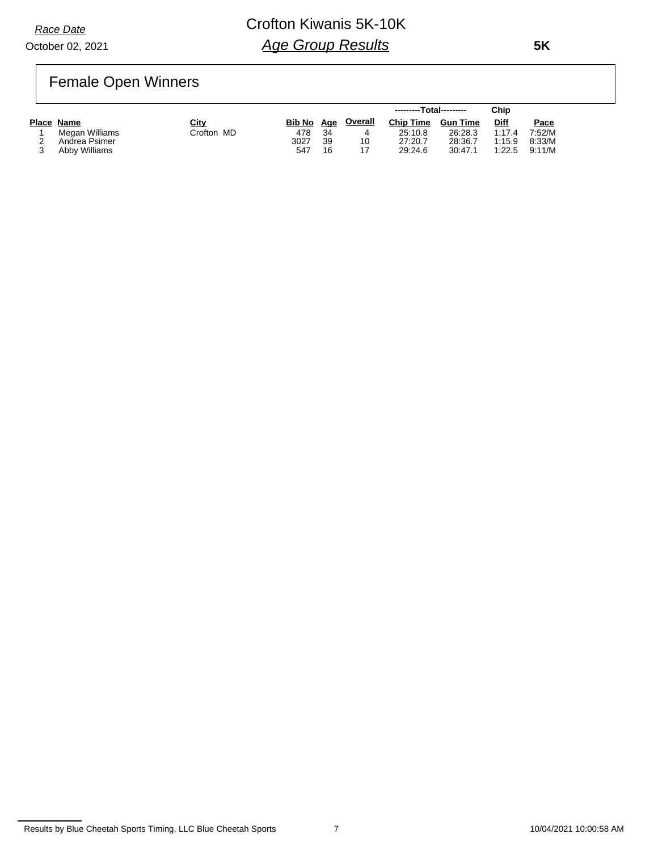### October 02, 2021

# Crofton Kiwanis 5K-10K *Age Group Results*

 **5K**

# Female Open Winners

|                |             |        |     |         | ---------Total--------- |          | Chip   |        |
|----------------|-------------|--------|-----|---------|-------------------------|----------|--------|--------|
| Place Name     | <b>City</b> | Bib No | Aae | Overall | <b>Chip Time</b>        | Gun Time | Diff   | Pace   |
| Megan Williams | Crofton MD  | 478    | 34  | 4       | 25:10.8                 | 26:28.3  | 1:17.4 | 7:52/M |
| Andrea Psimer  |             | 3027   | 39  | 10      | 27:20.7                 | 28:36.7  | 1:15.9 | 8:33/M |
| Abby Williams  |             | 547    | 16  |         | 29:24.6                 | 30:47.1  | 1:22.5 | 9:11/M |

Results by Blue Cheetah Sports Timing, LLC Blue Cheetah Sports 7 10/04/2021 10:00:58 AM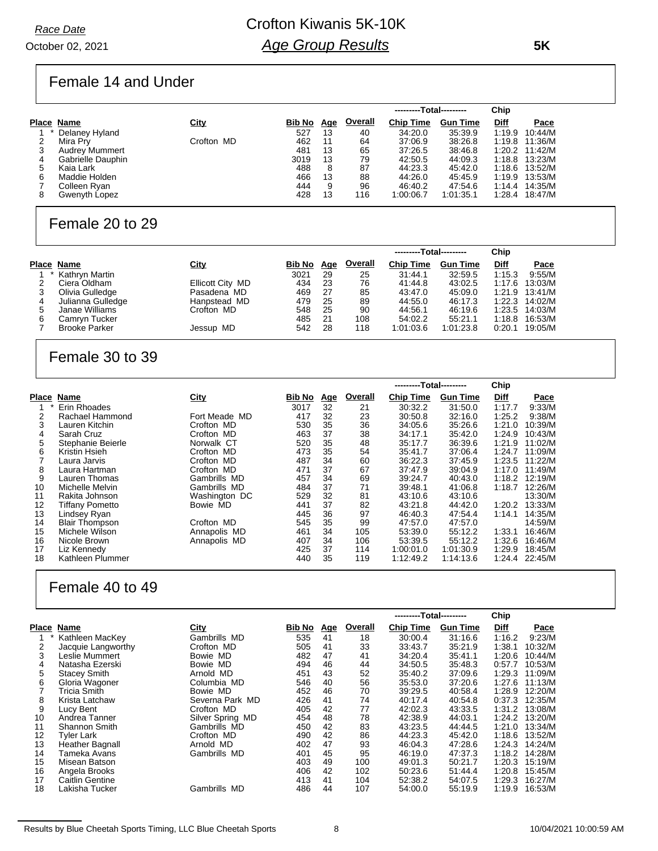October 02, 2021 *Race Date*

# Crofton Kiwanis 5K-10K *Age Group Results*

 **5K**

## Female 14 and Under

|   |                       |             |        |            |                | ---------Total--------- |                 | Chip   |                |
|---|-----------------------|-------------|--------|------------|----------------|-------------------------|-----------------|--------|----------------|
|   | Place Name            | <u>City</u> | Bib No | <u>Age</u> | <b>Overall</b> | <b>Chip Time</b>        | <b>Gun Time</b> | Diff   | Pace           |
|   | Delaney Hyland        |             | 527    | 13         | 40             | 34:20.0                 | 35:39.9         | 1:19.9 | 10:44/M        |
|   | Mira Prv              | Crofton MD  | 462    | 11         | 64             | 37:06.9                 | 38:26.8         |        | 1:19.8 11:36/M |
| 3 | <b>Audrey Mummert</b> |             | 481    | 13         | 65             | 37:26.5                 | 38:46.8         |        | 1:20.2 11:42/M |
| 4 | Gabrielle Dauphin     |             | 3019   | 13         | 79             | 42:50.5                 | 44:09.3         | 1:18.8 | 13:23/M        |
| 5 | Kaia Lark             |             | 488    | 8          | 87             | 44:23.3                 | 45:42.0         | 1:18.6 | 13:52/M        |
| 6 | Maddie Holden         |             | 466    | 13         | 88             | 44:26.0                 | 45:45.9         | 1:19.9 | 13:53/M        |
|   | Colleen Ryan          |             | 444    | 9          | 96             | 46:40.2                 | 47:54.6         | 1:14.4 | 14:35/M        |
| 8 | Gwenyth Lopez         |             | 428    | 13         | 116            | 1:00:06.7               | 1:01:35.1       | 1:28.4 | 18:47/M        |

### Female 20 to 29

|   |                      |                  |        |            |         | ---------Total--------- |                 | Chip        |         |
|---|----------------------|------------------|--------|------------|---------|-------------------------|-----------------|-------------|---------|
|   | Place Name           | <u>City</u>      | Bib No | <u>Age</u> | Overall | <b>Chip Time</b>        | <b>Gun Time</b> | <b>Diff</b> | Pace    |
|   | Kathryn Martin       |                  | 3021   | 29         | 25      | 31:44.1                 | 32:59.5         | 1:15.3      | 9:55/M  |
|   | Ciera Oldham         | Ellicott City MD | 434    | 23         | 76      | 41:44.8                 | 43:02.5         | 1:17.6      | 13:03/M |
|   | Olivia Gulledge      | Pasadena MD      | 469    | 27         | 85      | 43:47.0                 | 45:09.0         | 1:21.9      | 13:41/M |
| 4 | Julianna Gulledge    | Hanpstead MD     | 479    | 25         | 89      | 44:55.0                 | 46.17.3         | 1:22.3      | 14:02/M |
|   | Janae Williams       | Crofton MD       | 548    | 25         | 90      | 44:56.1                 | 46:19.6         | 1:23.5      | 14:03/M |
| 6 | Camryn Tucker        |                  | 485    | 21         | 108     | 54:02.2                 | 55:21.1         | 1:18.8      | 16:53/M |
|   | <b>Brooke Parker</b> | Jessup MD        | 542    | 28         | 118     | 1:01:03.6               | 1:01:23.8       | 0:20.1      | 19:05/M |

### Female 30 to 39

|       |                        |               |               |            |         | ---------Total--------- |                 | Chip        |         |
|-------|------------------------|---------------|---------------|------------|---------|-------------------------|-----------------|-------------|---------|
| Place | Name                   | City          | <b>Bib No</b> | <u>Age</u> | Overall | <b>Chip Time</b>        | <b>Gun Time</b> | <b>Diff</b> | Pace    |
|       | Erin Rhoades           |               | 3017          | 32         | 21      | 30:32.2                 | 31:50.0         | 1:17.7      | 9:33/M  |
| 2     | Rachael Hammond        | Fort Meade MD | 417           | 32         | 23      | 30:50.8                 | 32:16.0         | 1:25.2      | 9:38/M  |
| 3     | Lauren Kitchin         | Crofton MD    | 530           | 35         | 36      | 34:05.6                 | 35:26.6         | 1:21.0      | 10:39/M |
| 4     | Sarah Cruz             | Crofton MD    | 463           | 37         | 38      | 34:17.1                 | 35:42.0         | 1:24.9      | 10:43/M |
| 5     | Stephanie Beierle      | Norwalk CT    | 520           | 35         | 48      | 35:17.7                 | 36:39.6         | 1:21.9      | 11:02/M |
| 6     | Kristin Hsieh          | Crofton MD    | 473           | 35         | 54      | 35:41.7                 | 37:06.4         | 1:24.7      | 11:09/M |
|       | Laura Jarvis           | MD<br>Crofton | 487           | 34         | 60      | 36:22.3                 | 37:45.9         | 1:23.5      | 11:22/M |
| 8     | Laura Hartman          | Crofton MD    | 471           | 37         | 67      | 37:47.9                 | 39:04.9         | 1:17.0      | 11:49/M |
| 9     | Lauren Thomas          | Gambrills MD  | 457           | 34         | 69      | 39:24.7                 | 40:43.0         | 1:18.2      | 12:19/M |
| 10    | Michelle Melvin        | Gambrills MD  | 484           | 37         | 71      | 39:48.1                 | 41:06.8         | 1:18.7      | 12:26/M |
| 11    | Rakita Johnson         | Washington DC | 529           | 32         | 81      | 43:10.6                 | 43:10.6         |             | 13:30/M |
| 12    | <b>Tiffany Pometto</b> | Bowie MD      | 441           | 37         | 82      | 43:21.8                 | 44:42.0         | 1:20.2      | 13:33/M |
| 13    | Lindsey Ryan           |               | 445           | 36         | 97      | 46:40.3                 | 47:54.4         | 1:14.1      | 14:35/M |
| 14    | <b>Blair Thompson</b>  | Crofton MD    | 545           | 35         | 99      | 47:57.0                 | 47:57.0         |             | 14:59/M |
| 15    | Michele Wilson         | Annapolis MD  | 461           | 34         | 105     | 53:39.0                 | 55:12.2         | 1:33.1      | 16:46/M |
| 16    | Nicole Brown           | Annapolis MD  | 407           | 34         | 106     | 53:39.5                 | 55:12.2         | 1:32.6      | 16:46/M |
| 17    | Liz Kennedy            |               | 425           | 37         | 114     | 1:00:01.0               | 1:01:30.9       | 1:29.9      | 18:45/M |
| 18    | Kathleen Plummer       |               | 440           | 35         | 119     | 1:12:49.2               | 1:14:13.6       | 1:24.4      | 22:45/M |

## Female 40 to 49

|       |                        |                  |        |            |                | ---------Total--------- |                 | Chip        |         |
|-------|------------------------|------------------|--------|------------|----------------|-------------------------|-----------------|-------------|---------|
| Place | Name                   | City             | Bib No | <u>Age</u> | <b>Overall</b> | <b>Chip Time</b>        | <b>Gun Time</b> | <b>Diff</b> | Pace    |
|       | Kathleen MacKey        | Gambrills MD     | 535    | 41         | 18             | 30:00.4                 | 31:16.6         | 1:16.2      | 9:23/M  |
| 2     | Jacquie Langworthy     | Crofton MD       | 505    | 41         | 33             | 33:43.7                 | 35:21.9         | 1:38.1      | 10:32/M |
| 3     | Leslie Mummert         | Bowie MD         | 482    | 47         | 41             | 34:20.4                 | 35:41.1         | 1:20.6      | 10:44/M |
| 4     | Natasha Ezerski        | Bowie MD         | 494    | 46         | 44             | 34:50.5                 | 35:48.3         | 0.57.7      | 10:53/M |
| 5     | <b>Stacey Smith</b>    | Arnold MD        | 451    | 43         | 52             | 35:40.2                 | 37:09.6         | 1:29.3      | 11:09/M |
| 6     | Gloria Wagoner         | Columbia MD      | 546    | 40         | 56             | 35:53.0                 | 37:20.6         | 1:27.6      | 11:13/M |
|       | <b>Tricia Smith</b>    | Bowie MD         | 452    | 46         | 70             | 39:29.5                 | 40:58.4         | 1:28.9      | 12:20/M |
| 8     | Krista Latchaw         | Severna Park MD  | 426    | 41         | 74             | 40:17.4                 | 40:54.8         | 0.37.3      | 12:35/M |
| 9     | Lucy Bent              | Crofton MD       | 405    | 42         | 77             | 42:02.3                 | 43:33.5         | 1:31.2      | 13:08/M |
| 10    | Andrea Tanner          | Silver Spring MD | 454    | 48         | 78             | 42:38.9                 | 44:03.1         | 1:24.2      | 13:20/M |
| 11    | Shannon Smith          | Gambrills MD     | 450    | 42         | 83             | 43:23.5                 | 44:44.5         | 1:21.0      | 13:34/M |
| 12    | <b>Tyler Lark</b>      | Crofton MD       | 490    | 42         | 86             | 44:23.3                 | 45:42.0         | 1:18.6      | 13:52/M |
| 13    | Heather Bagnall        | Arnold MD        | 402    | 47         | 93             | 46:04.3                 | 47:28.6         | 1:24.3      | 14:24/M |
| 14    | Tameka Avans           | Gambrills MD     | 401    | 45         | 95             | 46:19.0                 | 47:37.3         | 1:18.2      | 14:28/M |
| 15    | Misean Batson          |                  | 403    | 49         | 100            | 49:01.3                 | 50:21.7         | 1:20.3      | 15:19/M |
| 16    | Angela Brooks          |                  | 406    | 42         | 102            | 50.23.6                 | 51:44.4         | 1:20.8      | 15:45/M |
| 17    | <b>Caitlin Gentine</b> |                  | 413    | 41         | 104            | 52:38.2                 | 54:07.5         | 1:29.3      | 16:27/M |
| 18    | Lakisha Tucker         | Gambrills MD     | 486    | 44         | 107            | 54:00.0                 | 55:19.9         | 1:19.9      | 16:53/M |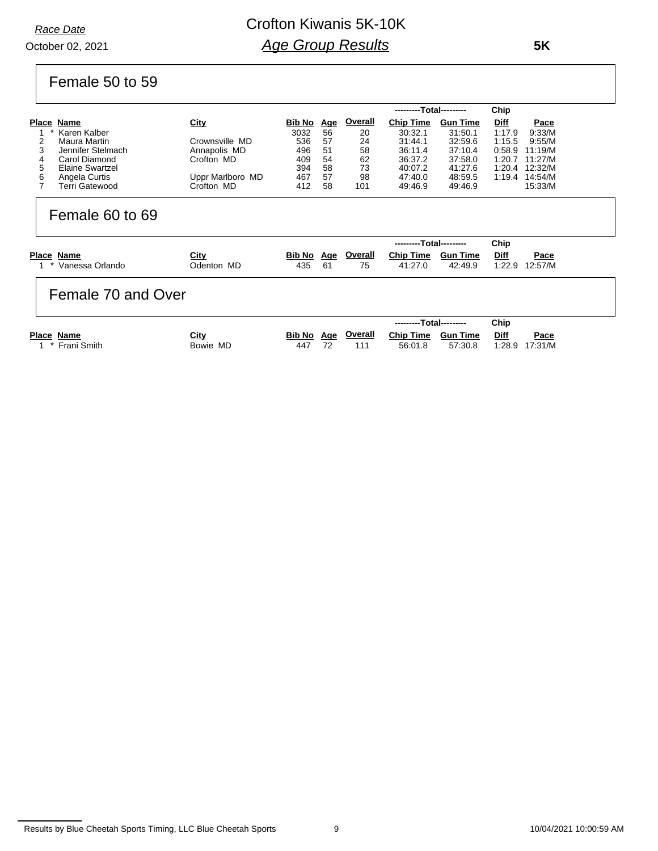October 02, 2021 *Race Date*

# Crofton Kiwanis 5K-10K *Age Group Results*

 **5K**

### Female 50 to 59

|   |                        |                  |               |            |                | ---------Total--------- |                 | Chip        |                |
|---|------------------------|------------------|---------------|------------|----------------|-------------------------|-----------------|-------------|----------------|
|   | Place Name             | <u>City</u>      | <b>Bib No</b> | <u>Age</u> | <b>Overall</b> | Chip Time               | <b>Gun Time</b> | <b>Diff</b> | Pace           |
|   | Karen Kalber           |                  | 3032          | 56         | 20             | 30:32.1                 | 31:50.1         | 1:17.9      | 9:33/M         |
|   | Maura Martin           | Crownsville MD   | 536           | 57         | 24             | 31:44.1                 | 32:59.6         | 1:15.5      | 9:55/M         |
| 3 | Jennifer Stelmach      | Annapolis MD     | 496           | 51         | 58             | 36:11.4                 | 37:10.4         |             | 0:58.9 11:19/M |
| 4 | Carol Diamond          | Crofton MD       | 409           | 54         | 62             | 36:37.2                 | 37:58.0         |             | 1:20.7 11:27/M |
| 5 | <b>Elaine Swartzel</b> |                  | 394           | 58         | 73             | 40:07.2                 | 41:27.6         | 1:20.4      | 12:32/M        |
| 6 | Angela Curtis          | Uppr Marlboro MD | 467           | 57         | 98             | 47:40.0                 | 48:59.5         | 1:19.4      | 14:54/M        |
|   | Terri Gatewood         | Crofton MD       | 412           | 58         | 101            | 49:46.9                 | 49:46.9         |             | 15:33/M        |
|   | Female 60 to 69        |                  |               |            |                |                         |                 |             |                |
|   |                        |                  |               |            |                | ---------Total--------- |                 | Chip        |                |

| Place Name<br>* Vanessa Orlando | <u>City</u><br>Odenton MD | Bib No Age<br>435 | - 61 | <b>Overall</b><br>75 | <b>Chip Time</b><br>41:27.0 | <b>Gun Time</b><br>42:49.9 | Diff        | Pace<br>1:22.9 12:57/M |
|---------------------------------|---------------------------|-------------------|------|----------------------|-----------------------------|----------------------------|-------------|------------------------|
| Female 70 and Over              |                           |                   |      |                      |                             |                            |             |                        |
|                                 |                           |                   |      |                      | ---------Total---------     |                            | Chip        |                        |
| Place Name                      | <u>City</u>               | Bib No Age        |      | <b>Overall</b>       | <b>Chip Time</b>            | <b>Gun Time</b>            | <b>Diff</b> | Pace                   |
| * Frani Smith                   | Bowie MD                  | 447               | 72   | 111                  | 56.01.8                     | 57:30.8                    |             | 1:28.9 17:31/M         |

Results by Blue Cheetah Sports Timing, LLC Blue Cheetah Sports 9 10/04/2021 10:00:59 AM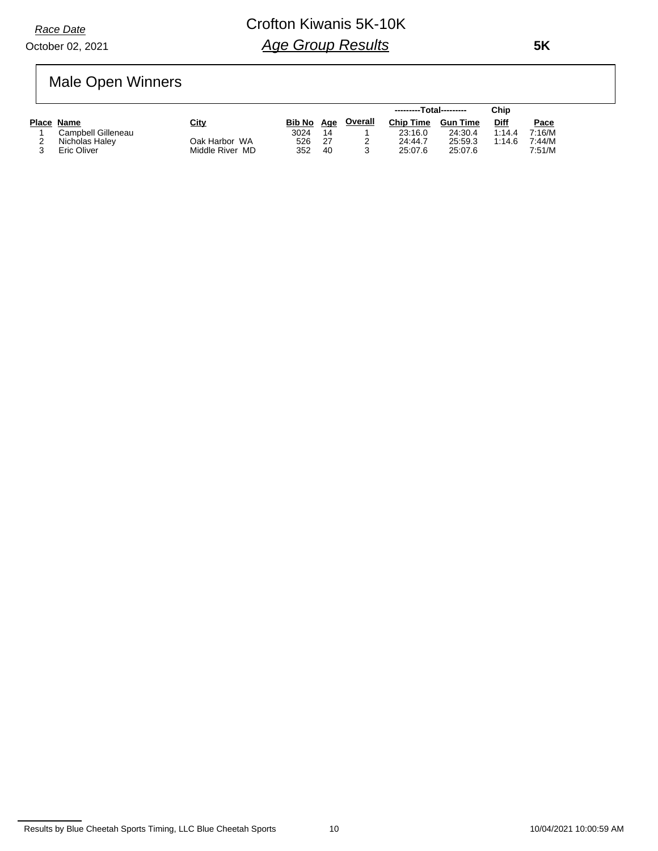#### October 02, 2021

# Crofton Kiwanis 5K-10K *Age Group Results*

 **5K**

# Male Open Winners

|                    |                 |        |     |         | ---------Total--------- |          | Chip        |        |
|--------------------|-----------------|--------|-----|---------|-------------------------|----------|-------------|--------|
| Place Name         | <b>City</b>     | Bib No | Aae | Overall | <b>Chip Time</b>        | Gun Time | <b>Diff</b> | Pace   |
| Campbell Gilleneau |                 | 3024   | 14  |         | 23:16.0                 | 24:30.4  | 1:14.4      | 7:16/M |
| Nicholas Haley     | Oak Harbor WA   | 526    | -27 |         | 24:44.7                 | 25:59.3  | 1:14.6      | 7:44/M |
| Eric Oliver        | Middle River MD | 352    | 40  |         | 25:07.6                 | 25:07.6  |             | 7.51/M |

Results by Blue Cheetah Sports Timing, LLC Blue Cheetah Sports 10 10 10 10 10 10 10/04/2021 10:00:59 AM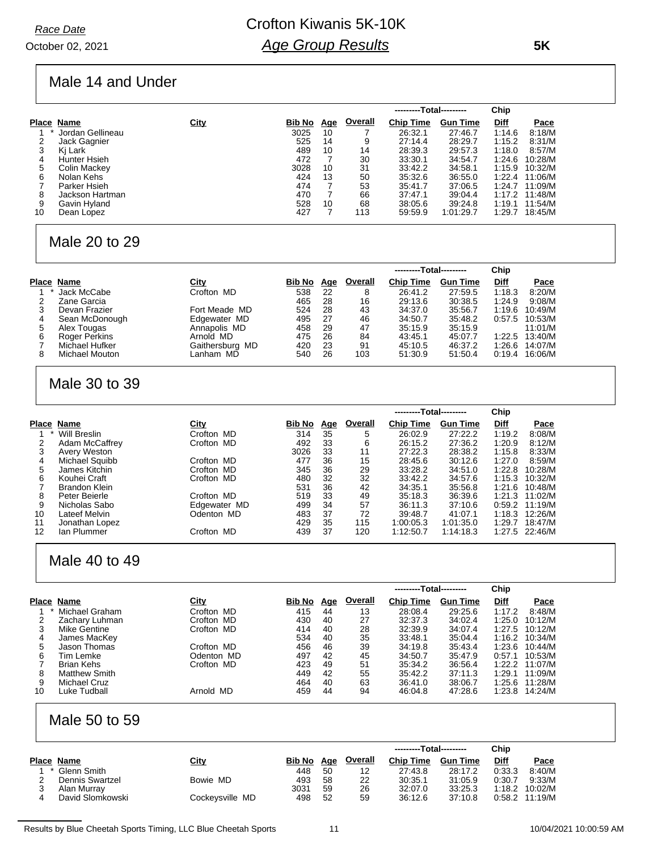October 02, 2021 *Race Date*

# Crofton Kiwanis 5K-10K *Age Group Results*

 **5K**

## Male 14 and Under

|                  |                            |        |            |                |                  |                 | Chip                    |                |
|------------------|----------------------------|--------|------------|----------------|------------------|-----------------|-------------------------|----------------|
|                  | <u>City</u>                | Bib No | <u>Age</u> | <b>Overall</b> | <b>Chip Time</b> | <b>Gun Time</b> | <b>Diff</b>             | Pace           |
| Jordan Gellineau |                            | 3025   | 10         |                | 26:32.1          | 27:46.7         | 1:14.6                  | 8:18/M         |
|                  |                            | 525    | 14         | 9              | 27:14.4          | 28:29.7         | 1:15.2                  | 8.31/M         |
| Ki Lark          |                            | 489    | 10         | 14             | 28:39.3          | 29.57.3         | 1:18.0                  | 8:57/M         |
| Hunter Hsieh     |                            | 472    | 7          | 30             | 33:30.1          | 34:54.7         | 1:24.6                  | 10:28/M        |
| Colin Mackey     |                            | 3028   | 10         | 31             | 33:42.2          | 34:58.1         | 1:15.9                  | 10:32/M        |
| Nolan Kehs       |                            | 424    | 13         | 50             | 35:32.6          | 36:55.0         |                         | 1:22.4 11:06/M |
| Parker Hsieh     |                            | 474    |            | 53             | 35:41.7          | 37:06.5         |                         | 11:09/M        |
| Jackson Hartman  |                            | 470    |            | 66             | 37:47.1          | 39:04.4         |                         | 1:17.2 11:48/M |
| Gavin Hyland     |                            | 528    | 10         | 68             | 38:05.6          | 39:24.8         | 1:19.1                  | 11:54/M        |
| Dean Lopez       |                            | 427    |            | 113            | 59:59.9          | 1:01:29.7       | 1.29.7                  | 18:45/M        |
|                  | Place Name<br>Jack Gagnier |        |            |                |                  |                 | ---------Total--------- | 1:24.7         |

## Male 20 to 29

|   |                       |                 |        |            |                | ---------Total--------- |                 | Chip        |                |
|---|-----------------------|-----------------|--------|------------|----------------|-------------------------|-----------------|-------------|----------------|
|   | Place Name            | <b>City</b>     | Bib No | <u>Age</u> | <b>Overall</b> | <b>Chip Time</b>        | <b>Gun Time</b> | <b>Diff</b> | Pace           |
|   | Jack McCabe           | Crofton MD      | 538    | 22         | 8              | 26:41.2                 | 27:59.5         | 1:18.3      | 8:20/M         |
|   | Zane Garcia           |                 | 465    | 28         | 16             | 29:13.6                 | 30:38.5         | 1:24.9      | 9.08/M         |
| 3 | Devan Frazier         | Fort Meade MD   | 524    | 28         | 43             | 34:37.0                 | 35:56.7         | 1:19.6      | 10:49/M        |
| 4 | Sean McDonough        | Edgewater MD    | 495    | 27         | 46             | 34:50.7                 | 35:48.2         | 0.57.5      | 10.53/M        |
| 5 | Alex Tougas           | Annapolis MD    | 458    | 29         | 47             | 35:15.9                 | 35:15.9         |             | 11:01/M        |
| 6 | Roger Perkins         | Arnold MD       | 475    | 26         | 84             | 43:45.1                 | 45:07.7         |             | 1:22.5 13:40/M |
|   | Michael Hufker        | Gaithersburg MD | 420    | 23         | 91             | 45:10.5                 | 46:37.2         | 1:26.6      | 14:07/M        |
| 8 | <b>Michael Mouton</b> | Lanham MD       | 540    | 26         | 103            | 51:30.9                 | 51:50.4         | 0.19.4      | 16:06/M        |

### Male 30 to 39

|    |                      |              |        |            |         | ---------Total--------- |                 | Chip   |         |
|----|----------------------|--------------|--------|------------|---------|-------------------------|-----------------|--------|---------|
|    | Place Name           | <u>City</u>  | Bib No | <u>Age</u> | Overall | <b>Chip Time</b>        | <b>Gun Time</b> | Diff   | Pace    |
|    | Will Breslin         | Crofton MD   | 314    | 35         | 5       | 26:02.9                 | 27:22.2         | 1:19.2 | 8:08/M  |
| 2  | Adam McCaffrey       | Crofton MD   | 492    | 33         | 6       | 26:15.2                 | 27:36.2         | 1:20.9 | 8:12/M  |
| 3  | Avery Weston         |              | 3026   | 33         | 11      | 27:22.3                 | 28:38.2         | 1:15.8 | 8:33/M  |
| 4  | Michael Squibb       | Crofton MD   | 477    | 36         | 15      | 28:45.6                 | 30:12.6         | 1:27.0 | 8:59/M  |
| 5  | James Kitchin        | Crofton MD   | 345    | 36         | 29      | 33:28.2                 | 34:51.0         | 1:22.8 | 10:28/M |
| 6  | Kouhei Craft         | Crofton MD   | 480    | 32         | 32      | 33:42.2                 | 34:57.6         | 1:15.3 | 10:32/M |
|    | <b>Brandon Klein</b> |              | 531    | 36         | 42      | 34:35.1                 | 35:56.8         | 1:21.6 | 10:48/M |
| 8  | Peter Beierle        | Crofton MD   | 519    | 33         | 49      | 35:18.3                 | 36:39.6         | 1:21.3 | 11:02/M |
| 9  | Nicholas Sabo        | Edgewater MD | 499    | 34         | 57      | 36.11.3                 | 37:10.6         | 0:59.2 | 11:19/M |
| 10 | Lateef Melvin        | Odenton MD   | 483    | 37         | 72      | 39:48.7                 | 41:07.1         | 1:18.3 | 12:26/M |
| 11 | Jonathan Lopez       |              | 429    | 35         | 115     | 1:00:05.3               | 1.01.35.0       | 1:29.7 | 18:47/M |
| 12 | lan Plummer          | Crofton MD   | 439    | 37         | 120     | 1:12:50.7               | 1:14:18.3       | 1:27.5 | 22:46/M |

## Male 40 to 49

|    |                      |             |        |            |         | ---------Total--------- |                 | Chip        |                  |
|----|----------------------|-------------|--------|------------|---------|-------------------------|-----------------|-------------|------------------|
|    | Place Name           | <u>City</u> | Bib No | <u>Age</u> | Overall | <b>Chip Time</b>        | <b>Gun Time</b> | <b>Diff</b> | Pace             |
|    | Michael Graham       | Crofton MD  | 415    | 44         | 13      | 28:08.4                 | 29:25.6         | 1:17.2      | 8:48/M           |
|    | Zachary Luhman       | Crofton MD  | 430    | 40         | 27      | 32:37.3                 | 34:02.4         | 1:25.0      | 10:12/M          |
| 3  | Mike Gentine         | Crofton MD  | 414    | 40         | 28      | 32:39.9                 | 34:07.4         | 1:27.5      | 10:12/M          |
| 4  | James MacKey         |             | 534    | 40         | 35      | 33:48.1                 | 35:04.4         |             | 1:16.2 10:34/M   |
| 5  | Jason Thomas         | Crofton MD  | 456    | 46         | 39      | 34:19.8                 | 35:43.4         | 1:23.6      | 10:44/M          |
| 6  | Tim Lemke            | Odenton MD  | 497    | 42         | 45      | 34:50.7                 | 35:47.9         | 0:57.1      | 10:53/M          |
|    | Brian Kehs           | Crofton MD  | 423    | 49         | 51      | 35:34.2                 | 36:56.4         |             | $1:22.2$ 11:07/M |
| 8  | <b>Matthew Smith</b> |             | 449    | 42         | 55      | 35:42.2                 | 37:11.3         | 1:29.1      | 11:09/M          |
| 9  | Michael Cruz         |             | 464    | 40         | 63      | 36:41.0                 | 38:06.7         | 1:25.6      | 11:28/M          |
| 10 | Luke Tudball         | Arnold MD   | 459    | 44         | 94      | 46:04.8                 | 47:28.6         | 1:23.8      | 14:24/M          |

## Male 50 to 59

|            |                  |                 |        |     |         | ---------Total--------- |                 | Chip   |                |
|------------|------------------|-----------------|--------|-----|---------|-------------------------|-----------------|--------|----------------|
| Place Name |                  | City            | Bib No | Aae | Overall | <b>Chip Time</b>        | <b>Gun Time</b> | Diff   | Pace           |
|            | Glenn Smith      |                 | 448    | 50  | 12      | 27:43.8                 | 28:17.2         | 0.33.3 | 8:40/M         |
|            | Dennis Swartzel  | Bowie MD        | 493    | 58  | 22      | 30:35.1                 | 31:05.9         | 0:30.7 | 9.33/M         |
|            | Alan Murrav      |                 | 3031   | 59  | 26      | 32:07.0                 | 33.25.3         | 1:18.2 | 10:02/M        |
|            | David Slomkowski | Cockeysville MD | 498    | -52 | 59      | 36:12.6                 | 37:10.8         |        | 0:58.2 11:19/M |

Results by Blue Cheetah Sports Timing, LLC Blue Cheetah Sports 11 1000 1000 1000 1000 1000:59 AM